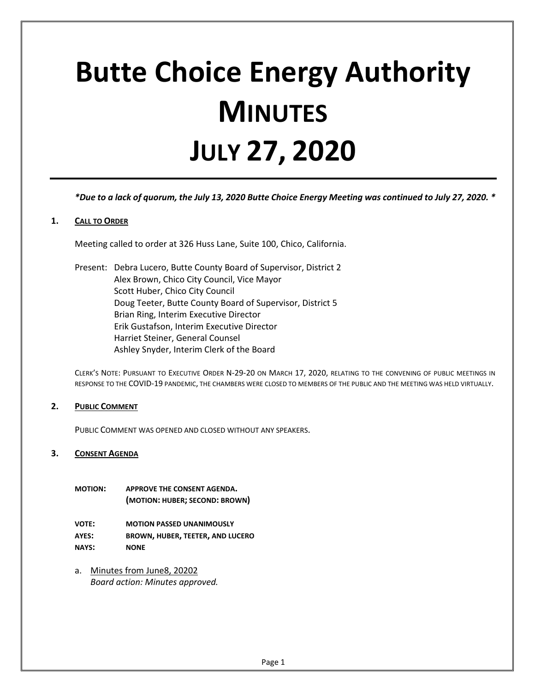# **Butte Choice Energy Authority MINUTES JULY 27, 2020**

*\*Due to a lack of quorum, the July 13, 2020 Butte Choice Energy Meeting was continued to July 27, 2020. \**

## **1. CALL TO ORDER**

Meeting called to order at 326 Huss Lane, Suite 100, Chico, California.

Present: Debra Lucero, Butte County Board of Supervisor, District 2 Alex Brown, Chico City Council, Vice Mayor Scott Huber, Chico City Council Doug Teeter, Butte County Board of Supervisor, District 5 Brian Ring, Interim Executive Director Erik Gustafson, Interim Executive Director Harriet Steiner, General Counsel Ashley Snyder, Interim Clerk of the Board

CLERK'S NOTE: PURSUANT TO EXECUTIVE ORDER N-29-20 ON MARCH 17, 2020, RELATING TO THE CONVENING OF PUBLIC MEETINGS IN RESPONSE TO THE COVID-19 PANDEMIC, THE CHAMBERS WERE CLOSED TO MEMBERS OF THE PUBLIC AND THE MEETING WAS HELD VIRTUALLY.

#### **2. PUBLIC COMMENT**

PUBLIC COMMENT WAS OPENED AND CLOSED WITHOUT ANY SPEAKERS.

#### **3. CONSENT AGENDA**

- **MOTION: APPROVE THE CONSENT AGENDA. (MOTION: HUBER; SECOND: BROWN)**
- **VOTE: MOTION PASSED UNANIMOUSLY AYES: BROWN, HUBER, TEETER, AND LUCERO NAYS: NONE**
- a. Minutes from June8, 20202 *Board action: Minutes approved.*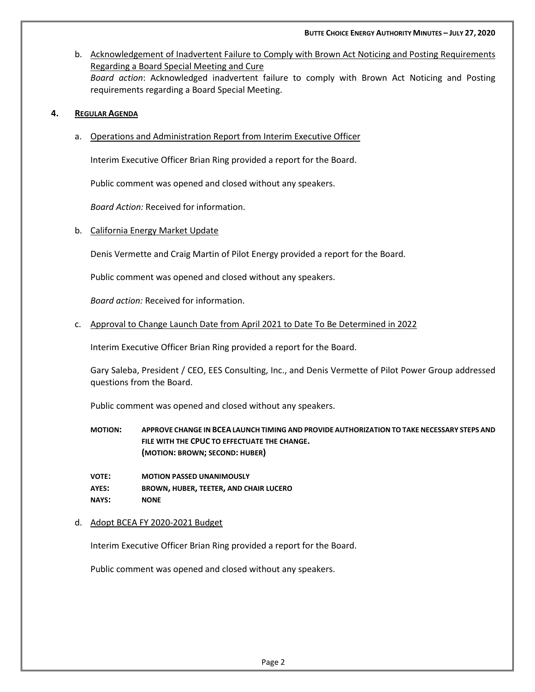b. Acknowledgement of Inadvertent Failure to Comply with Brown Act Noticing and Posting Requirements Regarding a Board Special Meeting and Cure *Board action*: Acknowledged inadvertent failure to comply with Brown Act Noticing and Posting requirements regarding a Board Special Meeting.

## **4. REGULAR AGENDA**

a. Operations and Administration Report from Interim Executive Officer

Interim Executive Officer Brian Ring provided a report for the Board.

Public comment was opened and closed without any speakers.

*Board Action:* Received for information.

b. California Energy Market Update

Denis Vermette and Craig Martin of Pilot Energy provided a report for the Board.

Public comment was opened and closed without any speakers.

*Board action:* Received for information.

c. Approval to Change Launch Date from April 2021 to Date To Be Determined in 2022

Interim Executive Officer Brian Ring provided a report for the Board.

Gary Saleba, President / CEO, EES Consulting, Inc., and Denis Vermette of Pilot Power Group addressed questions from the Board.

Public comment was opened and closed without any speakers.

**MOTION: APPROVE CHANGE IN BCEALAUNCH TIMING AND PROVIDE AUTHORIZATION TO TAKE NECESSARY STEPS AND FILE WITH THE CPUC TO EFFECTUATE THE CHANGE. (MOTION: BROWN; SECOND: HUBER)**

**VOTE: MOTION PASSED UNANIMOUSLY AYES: BROWN, HUBER, TEETER, AND CHAIR LUCERO NAYS: NONE**

d. Adopt BCEA FY 2020-2021 Budget

Interim Executive Officer Brian Ring provided a report for the Board.

Public comment was opened and closed without any speakers.